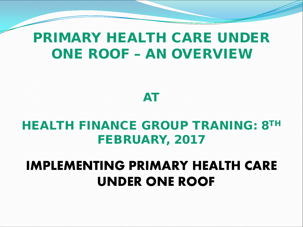#### PRIMARY HEALTH CARE UNDER ONE ROOF – AN OVERVIEW



#### HEALTH FINANCE GROUP TRANING: 8TH FEBRUARY, 2017

#### **IMPLEMENTING PRIMARY HEALTH CARE UNDER ONE ROOF**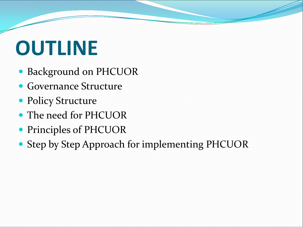# **OUTLINE**

- Background on PHCUOR
- Governance Structure
- Policy Structure
- The need for PHCUOR
- Principles of PHCUOR
- Step by Step Approach for implementing PHCUOR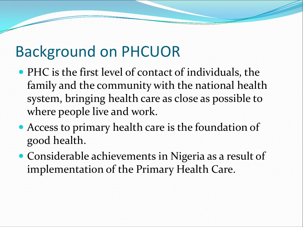## Background on PHCUOR

- PHC is the first level of contact of individuals, the family and the community with the national health system, bringing health care as close as possible to where people live and work.
- Access to primary health care is the foundation of good health.
- Considerable achievements in Nigeria as a result of implementation of the Primary Health Care.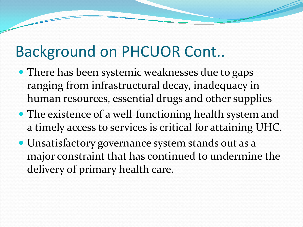## Background on PHCUOR Cont..

- There has been systemic weaknesses due to gaps ranging from infrastructural decay, inadequacy in human resources, essential drugs and other supplies
- The existence of a well-functioning health system and a timely access to services is critical for attaining UHC.
- Unsatisfactory governance system stands out as a major constraint that has continued to undermine the delivery of primary health care.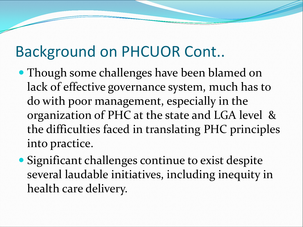## Background on PHCUOR Cont..

- Though some challenges have been blamed on lack of effective governance system, much has to do with poor management, especially in the organization of PHC at the state and LGA level & the difficulties faced in translating PHC principles into practice.
- Significant challenges continue to exist despite several laudable initiatives, including inequity in health care delivery.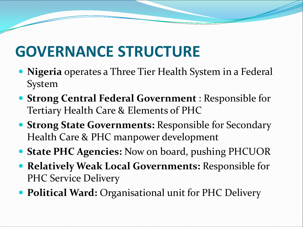## **GOVERNANCE STRUCTURE**

- **Nigeria** operates a Three Tier Health System in a Federal System
- **Strong Central Federal Government** : Responsible for Tertiary Health Care & Elements of PHC
- **Strong State Governments:** Responsible for Secondary Health Care & PHC manpower development
- **State PHC Agencies:** Now on board, pushing PHCUOR
- **Relatively Weak Local Governments:** Responsible for PHC Service Delivery
- **Political Ward: Organisational unit for PHC Delivery**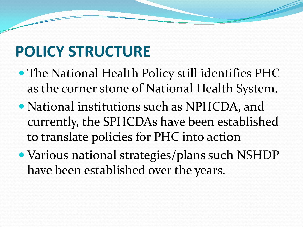## **POLICY STRUCTURE**

- The National Health Policy still identifies PHC as the corner stone of National Health System.
- National institutions such as NPHCDA, and currently, the SPHCDAs have been established to translate policies for PHC into action
- Various national strategies/plans such NSHDP have been established over the years.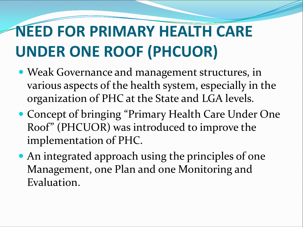## **NEED FOR PRIMARY HEALTH CARE UNDER ONE ROOF (PHCUOR)**

- Weak Governance and management structures, in various aspects of the health system, especially in the organization of PHC at the State and LGA levels.
- Concept of bringing "Primary Health Care Under One Roof" (PHCUOR) was introduced to improve the implementation of PHC.
- An integrated approach using the principles of one Management, one Plan and one Monitoring and Evaluation.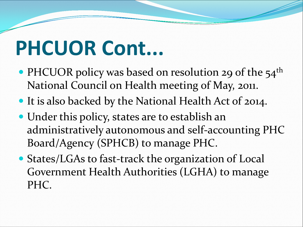# **PHCUOR Cont...**

- PHCUOR policy was based on resolution 29 of the  $54<sup>th</sup>$ National Council on Health meeting of May, 2011.
- It is also backed by the National Health Act of 2014.
- Under this policy, states are to establish an administratively autonomous and self-accounting PHC Board/Agency (SPHCB) to manage PHC.
- States/LGAs to fast-track the organization of Local Government Health Authorities (LGHA) to manage PHC.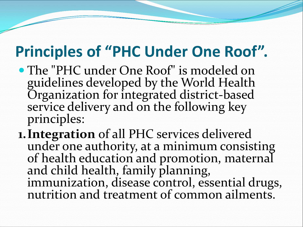## **Principles of "PHC Under One Roof".**

- The "PHC under One Roof" is modeled on guidelines developed by the World Health Organization for integrated district-based service delivery and on the following key principles:
- **1.Integration** of all PHC services delivered under one authority, at a minimum consisting of health education and promotion, maternal and child health, family planning, immunization, disease control, essential drugs, nutrition and treatment of common ailments.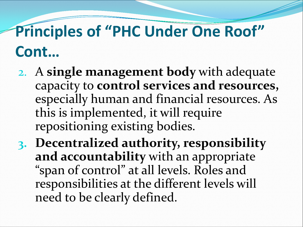## **Principles of "PHC Under One Roof" Cont…**

- 2. A **single management body** with adequate capacity to **control services and resources,** especially human and financial resources. As this is implemented, it will require repositioning existing bodies.
- **3. Decentralized authority, responsibility and accountability** with an appropriate "span of control" at all levels. Roles and responsibilities at the different levels will need to be clearly defined.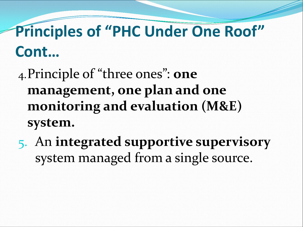## **Principles of "PHC Under One Roof" Cont…**

### 4.Principle of "three ones": **one management, one plan and one monitoring and evaluation (M&E) system.**

5. An **integrated supportive supervisory**  system managed from a single source.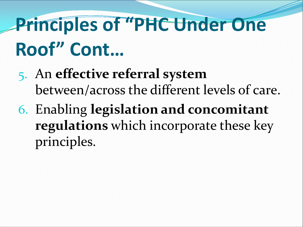# **Principles of "PHC Under One Roof" Cont…**

- 5. An **effective referral system**  between/across the different levels of care.
- 6. Enabling **legislation and concomitant regulations** which incorporate these key principles.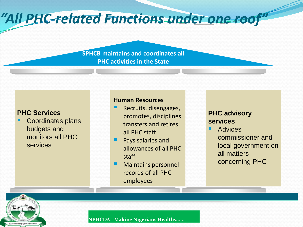#### *"All PHC-related Functions under one roof"*

**SPHCB maintains and coordinates all PHC activities in the State**

#### **PHC Services**

 Coordinates plans budgets and monitors all PHC services

#### **Human Resources**

- Recruits, disengages, promotes, disciplines, transfers and retires all PHC staff
- **Pays salaries and** allowances of all PHC staff
- **Maintains personnel** records of all PHC employees

#### **PHC advisory services**

**Advices** commissioner and local government on all matters concerning PHC



**NPHCDA - Making Nigerians Healthy......**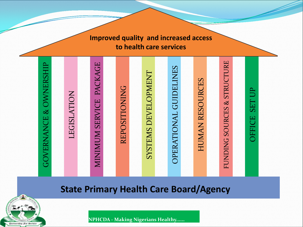

**Improved quality and increased access** 

#### **State Primary Health Care Board/Agency**



**NPHCDA - Making Nigerians Healthy......**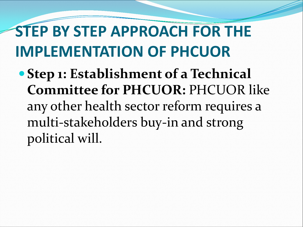## **STEP BY STEP APPROACH FOR THE IMPLEMENTATION OF PHCUOR**

 **Step 1: Establishment of a Technical Committee for PHCUOR:** PHCUOR like any other health sector reform requires a multi-stakeholders buy-in and strong political will.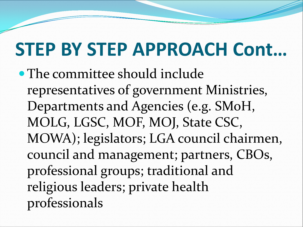The committee should include representatives of government Ministries, Departments and Agencies (e.g. SMoH, MOLG, LGSC, MOF, MOJ, State CSC, MOWA); legislators; LGA council chairmen, council and management; partners, CBOs, professional groups; traditional and religious leaders; private health professionals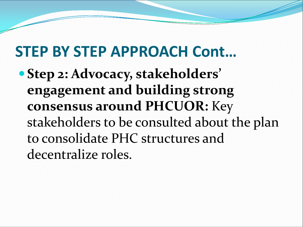**Step 2: Advocacy, stakeholders' engagement and building strong consensus around PHCUOR:** Key stakeholders to be consulted about the plan to consolidate PHC structures and decentralize roles.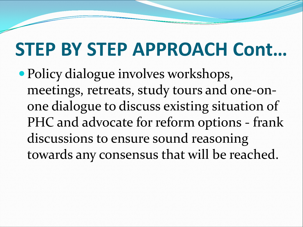• Policy dialogue involves workshops, meetings, retreats, study tours and one-onone dialogue to discuss existing situation of PHC and advocate for reform options - frank discussions to ensure sound reasoning towards any consensus that will be reached.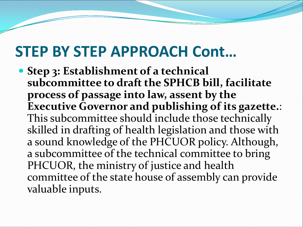**• Step 3: Establishment of a technical subcommittee to draft the SPHCB bill, facilitate process of passage into law, assent by the Executive Governor and publishing of its gazette.**: This subcommittee should include those technically skilled in drafting of health legislation and those with a sound knowledge of the PHCUOR policy. Although, a subcommittee of the technical committee to bring PHCUOR, the ministry of justice and health committee of the state house of assembly can provide valuable inputs.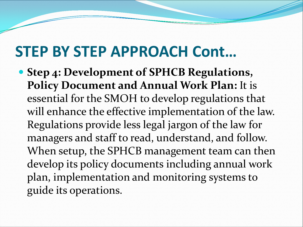**Step 4: Development of SPHCB Regulations, Policy Document and Annual Work Plan:** It is essential for the SMOH to develop regulations that will enhance the effective implementation of the law. Regulations provide less legal jargon of the law for managers and staff to read, understand, and follow. When setup, the SPHCB management team can then develop its policy documents including annual work plan, implementation and monitoring systems to guide its operations.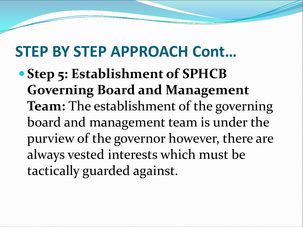**• Step 5: Establishment of SPHCB Governing Board and Management Team:** The establishment of the governing board and management team is under the purview of the governor however, there are always vested interests which must be tactically guarded against.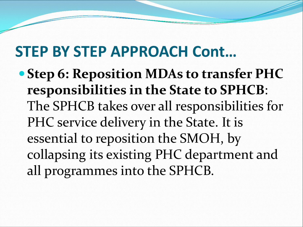**Step 6: Reposition MDAs to transfer PHC responsibilities in the State to SPHCB**: The SPHCB takes over all responsibilities for PHC service delivery in the State. It is essential to reposition the SMOH, by collapsing its existing PHC department and all programmes into the SPHCB.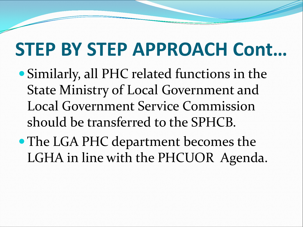- Similarly, all PHC related functions in the State Ministry of Local Government and Local Government Service Commission should be transferred to the SPHCB.
- The LGA PHC department becomes the LGHA in line with the PHCUOR Agenda.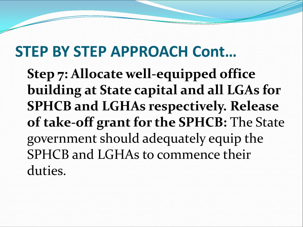**Step 7: Allocate well-equipped office building at State capital and all LGAs for SPHCB and LGHAs respectively. Release of take-off grant for the SPHCB:** The State government should adequately equip the SPHCB and LGHAs to commence their duties.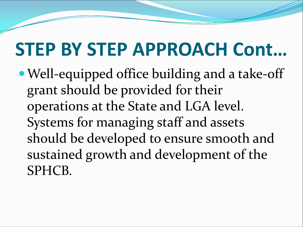Well-equipped office building and a take-off grant should be provided for their operations at the State and LGA level. Systems for managing staff and assets should be developed to ensure smooth and sustained growth and development of the SPHCB.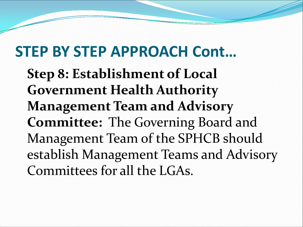**Step 8: Establishment of Local Government Health Authority Management Team and Advisory Committee:** The Governing Board and Management Team of the SPHCB should establish Management Teams and Advisory Committees for all the LGAs.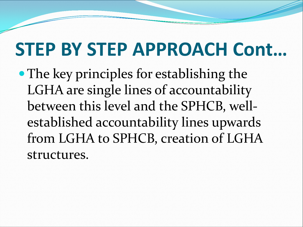• The key principles for establishing the LGHA are single lines of accountability between this level and the SPHCB, wellestablished accountability lines upwards from LGHA to SPHCB, creation of LGHA structures.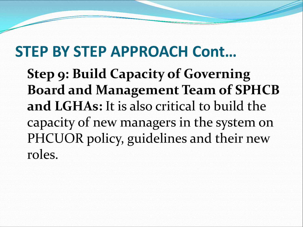**Step 9: Build Capacity of Governing Board and Management Team of SPHCB and LGHAs:** It is also critical to build the capacity of new managers in the system on PHCUOR policy, guidelines and their new roles.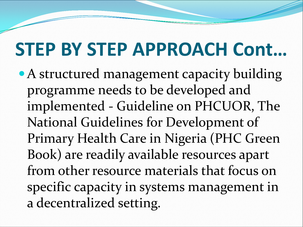• A structured management capacity building programme needs to be developed and implemented - Guideline on PHCUOR, The National Guidelines for Development of Primary Health Care in Nigeria (PHC Green Book) are readily available resources apart from other resource materials that focus on specific capacity in systems management in a decentralized setting.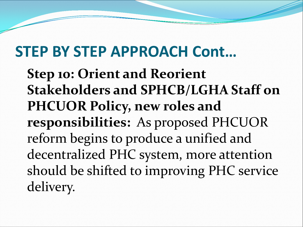**Step 10: Orient and Reorient Stakeholders and SPHCB/LGHA Staff on PHCUOR Policy, new roles and responsibilities:** As proposed PHCUOR reform begins to produce a unified and decentralized PHC system, more attention should be shifted to improving PHC service delivery.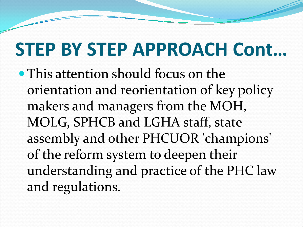• This attention should focus on the orientation and reorientation of key policy makers and managers from the MOH, MOLG, SPHCB and LGHA staff, state assembly and other PHCUOR 'champions' of the reform system to deepen their understanding and practice of the PHC law and regulations.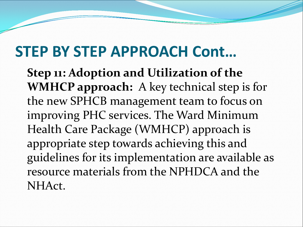**Step 11: Adoption and Utilization of the WMHCP approach:** A key technical step is for the new SPHCB management team to focus on improving PHC services. The Ward Minimum Health Care Package (WMHCP) approach is appropriate step towards achieving this and guidelines for its implementation are available as resource materials from the NPHDCA and the NHAct.